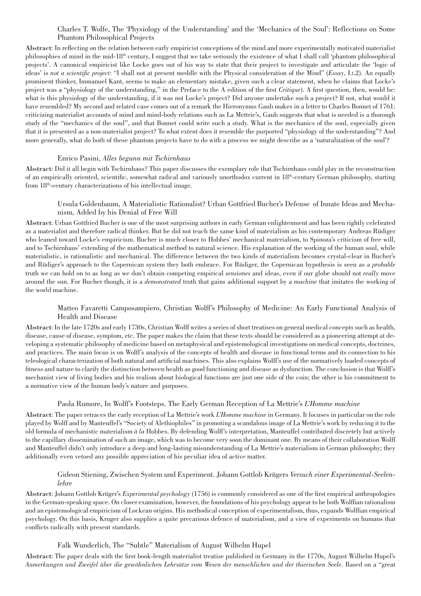# Charles T. Wolfe, The 'Physiology of the Understanding' and the 'Mechanics of the Soul': Reflections on Some Phantom Philosophical Projects

Abstract: In reflecting on the relation between early empiricist conceptions of the mind and more experimentally motivated materialist philosophies of mind in the mid-18th century, I suggest that we take seriously the existence of what I shall call 'phantom philosophical projects'. A canonical empiricist like Locke goes out of his way to state that their project to investigate and articulate the 'logic of ideas' is *not a scientific project*: "I shall not at present meddle with the Physical consideration of the Mind" (*Essay*, I.i.2). An equally prominent thinker, Immanuel Kant, seems to make an elementary mistake, given such a clear statement, when he claims that Locke's project was a "physiology of the understanding," in the Preface to the A edition of the first *Critique*). A first question, then, would be: what is this physiology of the understanding, if it was not Locke's project? Did anyone undertake such a project? If not, what would it have resembled? My second and related case comes out of a remark the Hieronymus Gaub makes in a letter to Charles Bonnet of 1761: criticizing materialist accounts of mind and mind-body relations such as La Mettrie's, Gaub suggests that what is needed is a thorough study of the "mechanics of the soul", and that Bonnet could write such a study. What is the mechanics of the soul, especially given that it is presented as a non-materialist project? To what extent does it resemble the purported "physiology of the understanding"? And more generally, what do both of these phantom projects have to do with a process we might describe as a 'naturalization of the soul'?

## Enrico Pasini, *Alles begann mit Tschirnhaus*

Abstract: Did it all begin with Tschirnhaus? This paper discusses the exemplary role that Tschirnhaus could play in the reconstruction of an empirically oriented, scientific, somewhat radical and variously unorthodox current in 18th-century German philosophy, starting from 18th-century characterizations of his intellectual image.

# Ursula Goldenbaum, A Materialistic Rationalist? Urban Gottfried Bucher's Defense of Innate Ideas and Mechanism, Added by his Denial of Free Will

Abstract: Urban Gottfried Bucher is one of the most surprising authors in early German enlightenment and has been rightly celebrated as a materialist and therefore radical thinker. But he did not teach the same kind of materialism as his contemporary Andreas Rüdiger who leaned toward Locke's empiricism. Bucher is much closer to Hobbes' mechanical materialism, to Spinoza's criticism of free will, and to Tschirnhaus' extending of the mathematical method to natural science. His explanation of the working of the human soul, while materialistic, is rationalistic and mechanical. The difference between the two kinds of materialism becomes crystal-clear in Bucher's and Rüdiger's approach to the Copernican system they both embrace. For Rüdiger, the Copernican hypothesis is seen as a *probable* truth we can hold on to as long as we don't obtain competing empirical *sensiones* and ideas, even if our globe should not *really* move around the sun. For Bucher though, it is a *demonstrated* truth that gains additional support by a *machine* that imitates the working of the world machine.

# Matteo Favaretti Camposampiero, Christian Wolff's Philosophy of Medicine: An Early Functional Analysis of Health and Disease

Abstract: In the late 1720s and early 1730s, Christian Wolff writes a series of short treatises on general medical concepts such as health, disease, cause of disease, symptom, etc. The paper makes the claim that these texts should be considered as a pioneering attempt at developing a systematic philosophy of medicine based on metaphysical and epistemological investigations on medical concepts, doctrines, and practices. The main focus is on Wolff's analysis of the concepts of health and disease in functional terms and its connection to his teleological characterization of both natural and artificial machines. This also explains Wolff's use of the normatively loaded concepts of fitness and nature to clarify the distinction between health as good functioning and disease as dysfunction. The conclusion is that Wolff's mechanist view of living bodies and his realism about biological functions are just one side of the coin; the other is his commitment to a normative view of the human body's nature and purposes.

## Paola Rumore, In Wolff's Footsteps. The Early German Reception of La Mettrie's *L'Homme machine*

Abstract: The paper retraces the early reception of La Mettrie's work *L'Homme machine* in Germany. It focuses in particular on the role played by Wolff and by Manteuffel's "Society of Alethiophiles" in promoting a scandalous image of La Mettrie's work by reducing it to the old formula of mechanistic materialism *à la* Hobbes. By defending Wolff's interpretation, Manteuffel contributed discretely but actively to the capillary dissemination of such an image, which was to become very soon the dominant one. By means of their collaboration Wolff and Manteuffel didn't only introduce a deep and long-lasting misunderstanding of La Mettrie's materialism in German philosophy; they additionally even vetoed any possible appreciation of his peculiar idea of active matter.

# Gideon Stiening, Zwischen System und Experiment. Johann Gottlob Krügers *Versuch einer Experimental-Seelenlehre*

Abstract: Johann Gottlob Krüger's *Experimental psychology* (1756) is commonly considered as one of the first empirical anthropologies in the German-speaking space. On closer examination, however, the foundations of his psychology appear to be both Wolffian rationalism and an epistemological empiricism of Lockean origins. His methodical conception of experimentalism, thus, expands Wolffian empirical psychology. On this basis, Kruger also supplies a quite precarious defence of materialism, and a view of experiments on humans that conflicts radically with present standards.

# Falk Wunderlich, The "Subtle" Materialism of August Wilhelm Hupel

Abstract: The paper deals with the first book-length materialist treatise published in Germany in the 1770s, August Wilhelm Hupel's *Anmerkungen und Zweifel über die gewöhnlichen Lehrsätze vom Wesen der menschlichen und der thierischen Seele*. Based on a "great